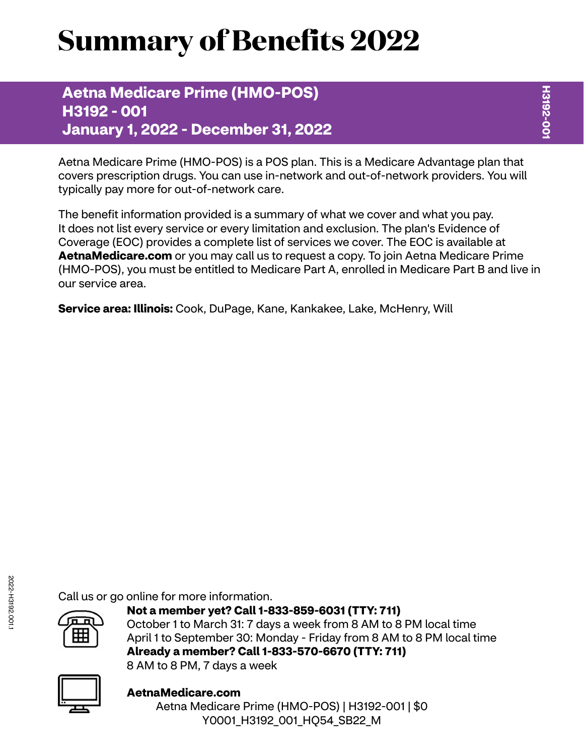# **Summary of Benefits 2022**

### **Aetna Medicare Prime (HMO-POS) H3192 - 001 January 1, 2022 - December 31, 2022**

Aetna Medicare Prime (HMO-POS) is a POS plan. This is a Medicare Advantage plan that covers prescription drugs. You can use in-network and out-of-network providers. You will typically pay more for out-of-network care.

The benefit information provided is a summary of what we cover and what you pay. It does not list every service or every limitation and exclusion. The plan's Evidence of Coverage (EOC) provides a complete list of services we cover. The EOC is available at **[AetnaMedicare.com](http://AetnaMedicare.com)** or you may call us to request a copy. To join Aetna Medicare Prime (HMO-POS), you must be entitled to Medicare Part A, enrolled in Medicare Part B and live in our service area.

**Service area: Illinois:** Cook, DuPage, Kane, Kankakee, Lake, McHenry, Will

Call us or go online for more information.



**Not a member yet? Call 1-833-859-6031 (TTY: 711)** October 1 to March 31: 7 days a week from 8 AM to 8 PM local time April 1 to September 30: Monday - Friday from 8 AM to 8 PM local time **Already a member? Call 1-833-570-6670 (TTY: 711)** 8 AM to 8 PM, 7 days a week



**[AetnaMedicare.com](http://AetnaMedicare.com)** Aetna Medicare Prime (HMO-POS) | H3192-001 | \$0 Y0001 H3192 001 HQ54 SB22 M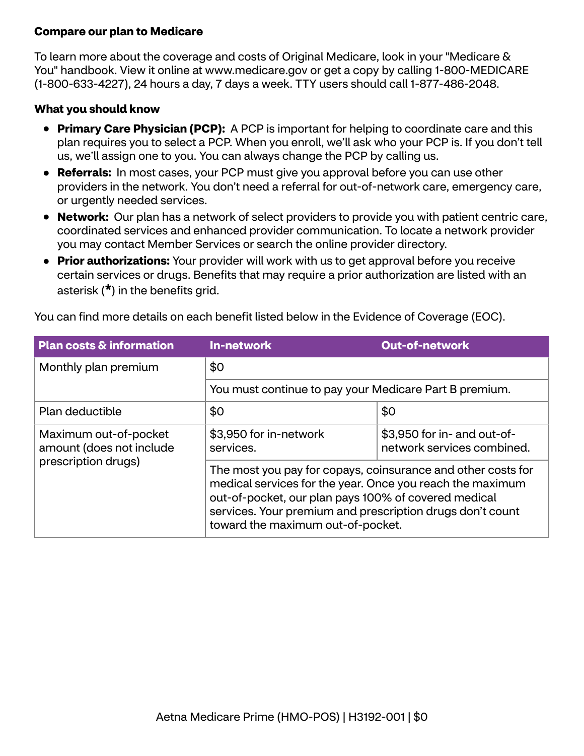#### **Compare our plan to Medicare**

To learn more about the coverage and costs of Original Medicare, look in your "Medicare & You" handbook. View it online at<www.medicare.gov>or get a copy by calling 1-800-MEDICARE (1-800-633-4227), 24 hours a day, 7 days a week. TTY users should call 1-877-486-2048.

#### **What you should know**

- **Primary Care Physician (PCP):** A PCP is important for helping to coordinate care and this plan requires you to select a PCP. When you enroll, we'll ask who your PCP is. If you don't tell us, we'll assign one to you. You can always change the PCP by calling us.
- **Referrals:** In most cases, your PCP must give you approval before you can use other providers in the network. You don't need a referral for out-of-network care, emergency care, or urgently needed services.
- **Network:** Our plan has a network of select providers to provide you with patient centric care, coordinated services and enhanced provider communication. To locate a network provider you may contact Member Services or search the online provider directory.
- **Prior authorizations:** Your provider will work with us to get approval before you receive certain services or drugs. Benefits that may require a prior authorization are listed with an asterisk (**\***) in the benefits grid.

| <b>Plan costs &amp; information</b>                                      | <b>In-network</b>                                                                                                                                                                                                                                                                   | <b>Out-of-network</b>                                     |  |
|--------------------------------------------------------------------------|-------------------------------------------------------------------------------------------------------------------------------------------------------------------------------------------------------------------------------------------------------------------------------------|-----------------------------------------------------------|--|
| Monthly plan premium                                                     | \$0<br>You must continue to pay your Medicare Part B premium.                                                                                                                                                                                                                       |                                                           |  |
|                                                                          |                                                                                                                                                                                                                                                                                     |                                                           |  |
| Plan deductible                                                          | \$0                                                                                                                                                                                                                                                                                 | \$0                                                       |  |
| Maximum out-of-pocket<br>amount (does not include<br>prescription drugs) | \$3,950 for in-network<br>services.                                                                                                                                                                                                                                                 | \$3,950 for in- and out-of-<br>network services combined. |  |
|                                                                          | The most you pay for copays, coinsurance and other costs for<br>medical services for the year. Once you reach the maximum<br>out-of-pocket, our plan pays 100% of covered medical<br>services. Your premium and prescription drugs don't count<br>toward the maximum out-of-pocket. |                                                           |  |

You can find more details on each benefit listed below in the Evidence of Coverage (EOC).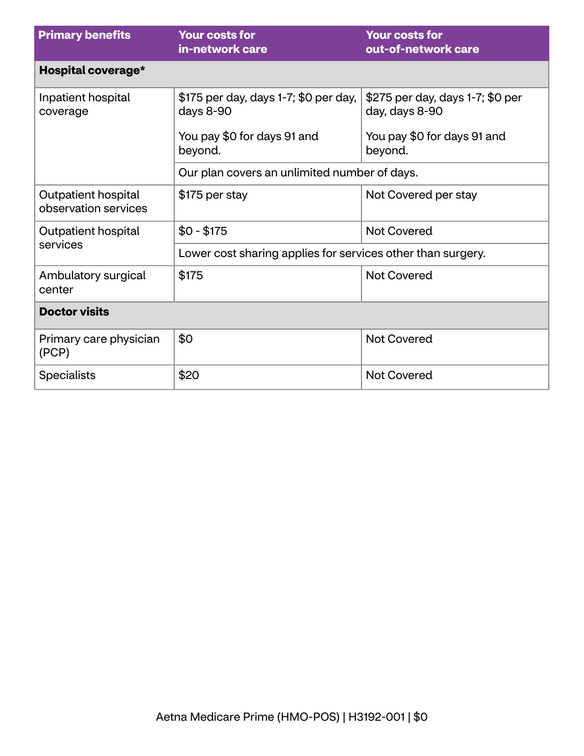| <b>Primary benefits</b>                     | <b>Your costs for</b><br>in-network care                    | <b>Your costs for</b><br>out-of-network care       |  |
|---------------------------------------------|-------------------------------------------------------------|----------------------------------------------------|--|
| Hospital coverage*                          |                                                             |                                                    |  |
| Inpatient hospital<br>coverage              | \$175 per day, days 1-7; \$0 per day,<br>days 8-90          | \$275 per day, days 1-7; \$0 per<br>day, days 8-90 |  |
|                                             | You pay \$0 for days 91 and<br>beyond.                      | You pay \$0 for days 91 and<br>beyond.             |  |
|                                             | Our plan covers an unlimited number of days.                |                                                    |  |
| Outpatient hospital<br>observation services | \$175 per stay                                              | Not Covered per stay                               |  |
| Outpatient hospital                         | $$0 - $175$                                                 | <b>Not Covered</b>                                 |  |
| services                                    | Lower cost sharing applies for services other than surgery. |                                                    |  |
| Ambulatory surgical<br>center               | \$175                                                       | <b>Not Covered</b>                                 |  |
| <b>Doctor visits</b>                        |                                                             |                                                    |  |
| Primary care physician<br>(PCP)             | \$0                                                         | <b>Not Covered</b>                                 |  |
| <b>Specialists</b>                          | \$20                                                        | <b>Not Covered</b>                                 |  |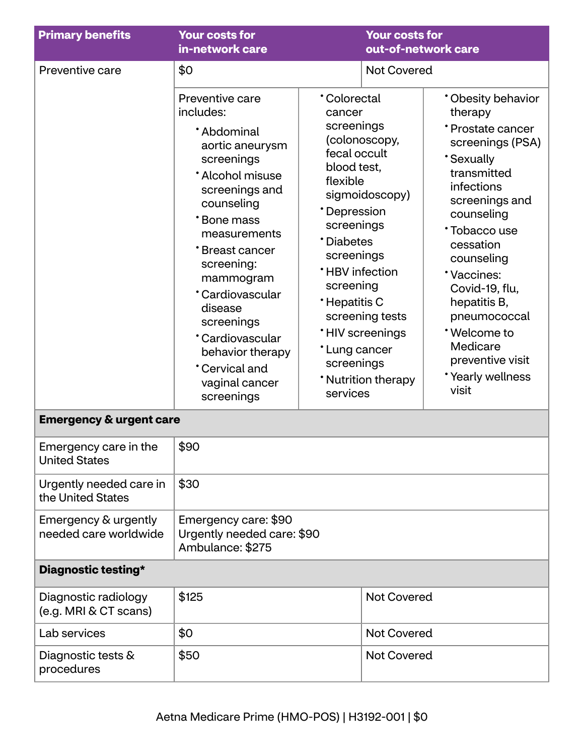| <b>Primary benefits</b>                       | <b>Your costs for</b><br>in-network care                                                                                                                                                                                                                                                                                                                   |                                                                                                                                                                                                                                              | <b>Your costs for</b><br>out-of-network care                                                        |                                                                                                                                                                                                                                                                                                                                              |
|-----------------------------------------------|------------------------------------------------------------------------------------------------------------------------------------------------------------------------------------------------------------------------------------------------------------------------------------------------------------------------------------------------------------|----------------------------------------------------------------------------------------------------------------------------------------------------------------------------------------------------------------------------------------------|-----------------------------------------------------------------------------------------------------|----------------------------------------------------------------------------------------------------------------------------------------------------------------------------------------------------------------------------------------------------------------------------------------------------------------------------------------------|
| Preventive care                               | \$0                                                                                                                                                                                                                                                                                                                                                        |                                                                                                                                                                                                                                              | <b>Not Covered</b>                                                                                  |                                                                                                                                                                                                                                                                                                                                              |
|                                               | Preventive care<br>includes:<br>*Abdominal<br>aortic aneurysm<br>screenings<br>* Alcohol misuse<br>screenings and<br>counseling<br>*Bone mass<br>measurements<br><b>Breast cancer</b><br>screening:<br>mammogram<br>*Cardiovascular<br>disease<br>screenings<br>*Cardiovascular<br>behavior therapy<br><b>Cervical and</b><br>vaginal cancer<br>screenings | <b>Colorectal</b><br>cancer<br>screenings<br>fecal occult<br>blood test,<br>flexible<br>*Depression<br>screenings<br>*Diabetes<br>screenings<br><b>*HBV</b> infection<br>screening<br>*Hepatitis C<br>*Lung cancer<br>screenings<br>services | (colonoscopy,<br>sigmoidoscopy)<br>screening tests<br><b>'HIV</b> screenings<br>* Nutrition therapy | * Obesity behavior<br>therapy<br>* Prostate cancer<br>screenings (PSA)<br><b>Sexually</b><br>transmitted<br>infections<br>screenings and<br>counseling<br>Tobacco use<br>cessation<br>counseling<br>*Vaccines:<br>Covid-19, flu,<br>hepatitis B,<br>pneumococcal<br>*Welcome to<br>Medicare<br>preventive visit<br>*Yearly wellness<br>visit |
| <b>Emergency &amp; urgent care</b>            |                                                                                                                                                                                                                                                                                                                                                            |                                                                                                                                                                                                                                              |                                                                                                     |                                                                                                                                                                                                                                                                                                                                              |
| Emergency care in the<br><b>United States</b> | \$90                                                                                                                                                                                                                                                                                                                                                       |                                                                                                                                                                                                                                              |                                                                                                     |                                                                                                                                                                                                                                                                                                                                              |
| Urgently needed care in<br>the United States  | \$30                                                                                                                                                                                                                                                                                                                                                       |                                                                                                                                                                                                                                              |                                                                                                     |                                                                                                                                                                                                                                                                                                                                              |
| Emergency & urgently<br>needed care worldwide | Emergency care: \$90<br>Urgently needed care: \$90<br>Ambulance: \$275                                                                                                                                                                                                                                                                                     |                                                                                                                                                                                                                                              |                                                                                                     |                                                                                                                                                                                                                                                                                                                                              |
| Diagnostic testing*                           |                                                                                                                                                                                                                                                                                                                                                            |                                                                                                                                                                                                                                              |                                                                                                     |                                                                                                                                                                                                                                                                                                                                              |
| Diagnostic radiology<br>(e.g. MRI & CT scans) | \$125                                                                                                                                                                                                                                                                                                                                                      |                                                                                                                                                                                                                                              | <b>Not Covered</b>                                                                                  |                                                                                                                                                                                                                                                                                                                                              |
| Lab services                                  | \$0                                                                                                                                                                                                                                                                                                                                                        |                                                                                                                                                                                                                                              | <b>Not Covered</b>                                                                                  |                                                                                                                                                                                                                                                                                                                                              |
| Diagnostic tests &<br>procedures              | \$50                                                                                                                                                                                                                                                                                                                                                       |                                                                                                                                                                                                                                              | <b>Not Covered</b>                                                                                  |                                                                                                                                                                                                                                                                                                                                              |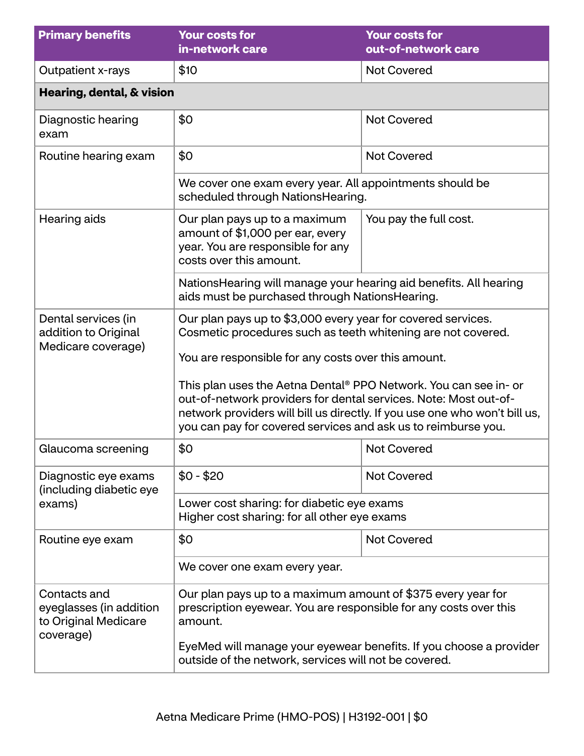| <b>Primary benefits</b>                                                      | <b>Your costs for</b><br>in-network care                                                                                                                                                                                                                                            | <b>Your costs for</b><br>out-of-network care |  |
|------------------------------------------------------------------------------|-------------------------------------------------------------------------------------------------------------------------------------------------------------------------------------------------------------------------------------------------------------------------------------|----------------------------------------------|--|
| <b>Outpatient x-rays</b>                                                     | \$10                                                                                                                                                                                                                                                                                | <b>Not Covered</b>                           |  |
| Hearing, dental, & vision                                                    |                                                                                                                                                                                                                                                                                     |                                              |  |
| Diagnostic hearing<br>exam                                                   | \$0                                                                                                                                                                                                                                                                                 | <b>Not Covered</b>                           |  |
| Routine hearing exam                                                         | \$0                                                                                                                                                                                                                                                                                 | <b>Not Covered</b>                           |  |
|                                                                              | We cover one exam every year. All appointments should be<br>scheduled through NationsHearing.                                                                                                                                                                                       |                                              |  |
| Hearing aids                                                                 | Our plan pays up to a maximum<br>amount of \$1,000 per ear, every<br>year. You are responsible for any<br>costs over this amount.                                                                                                                                                   | You pay the full cost.                       |  |
|                                                                              | NationsHearing will manage your hearing aid benefits. All hearing<br>aids must be purchased through NationsHearing.                                                                                                                                                                 |                                              |  |
| Dental services (in<br>addition to Original<br>Medicare coverage)            | Our plan pays up to \$3,000 every year for covered services.<br>Cosmetic procedures such as teeth whitening are not covered.<br>You are responsible for any costs over this amount.                                                                                                 |                                              |  |
|                                                                              | This plan uses the Aetna Dental® PPO Network. You can see in- or<br>out-of-network providers for dental services. Note: Most out-of-<br>network providers will bill us directly. If you use one who won't bill us,<br>you can pay for covered services and ask us to reimburse you. |                                              |  |
| Glaucoma screening                                                           | \$0                                                                                                                                                                                                                                                                                 | <b>Not Covered</b>                           |  |
| Diagnostic eye exams<br>(including diabetic eye                              | $$0 - $20$                                                                                                                                                                                                                                                                          | <b>Not Covered</b>                           |  |
| exams)                                                                       | Lower cost sharing: for diabetic eye exams<br>Higher cost sharing: for all other eye exams                                                                                                                                                                                          |                                              |  |
| Routine eye exam                                                             | \$0                                                                                                                                                                                                                                                                                 | <b>Not Covered</b>                           |  |
|                                                                              | We cover one exam every year.                                                                                                                                                                                                                                                       |                                              |  |
| Contacts and<br>eyeglasses (in addition<br>to Original Medicare<br>coverage) | Our plan pays up to a maximum amount of \$375 every year for<br>prescription eyewear. You are responsible for any costs over this<br>amount.<br>EyeMed will manage your eyewear benefits. If you choose a provider<br>outside of the network, services will not be covered.         |                                              |  |
|                                                                              |                                                                                                                                                                                                                                                                                     |                                              |  |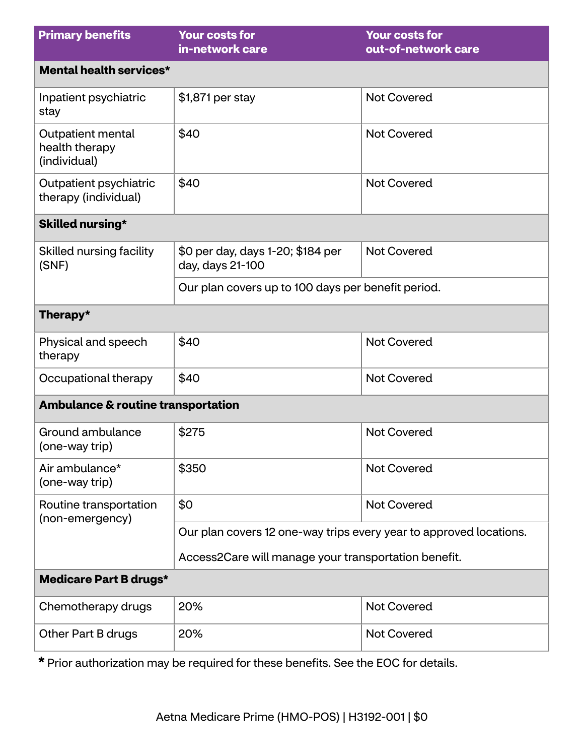| <b>Primary benefits</b>                             | <b>Your costs for</b><br>in-network care                           | <b>Your costs for</b><br>out-of-network care |  |  |
|-----------------------------------------------------|--------------------------------------------------------------------|----------------------------------------------|--|--|
| Mental health services*                             |                                                                    |                                              |  |  |
| Inpatient psychiatric<br>stay                       | \$1,871 per stay                                                   | <b>Not Covered</b>                           |  |  |
| Outpatient mental<br>health therapy<br>(individual) | \$40                                                               | <b>Not Covered</b>                           |  |  |
| Outpatient psychiatric<br>therapy (individual)      | \$40                                                               | <b>Not Covered</b>                           |  |  |
| Skilled nursing*                                    |                                                                    |                                              |  |  |
| Skilled nursing facility<br>(SNF)                   | \$0 per day, days 1-20; \$184 per<br>day, days 21-100              | <b>Not Covered</b>                           |  |  |
|                                                     | Our plan covers up to 100 days per benefit period.                 |                                              |  |  |
| Therapy*                                            |                                                                    |                                              |  |  |
| Physical and speech<br>therapy                      | \$40                                                               | <b>Not Covered</b>                           |  |  |
| Occupational therapy                                | \$40                                                               | <b>Not Covered</b>                           |  |  |
| <b>Ambulance &amp; routine transportation</b>       |                                                                    |                                              |  |  |
| Ground ambulance<br>(one-way trip)                  | \$275                                                              | <b>Not Covered</b>                           |  |  |
| Air ambulance*<br>(one-way trip)                    | \$350                                                              | <b>Not Covered</b>                           |  |  |
| Routine transportation<br>(non-emergency)           | \$0                                                                | <b>Not Covered</b>                           |  |  |
|                                                     | Our plan covers 12 one-way trips every year to approved locations. |                                              |  |  |
|                                                     | Access2Care will manage your transportation benefit.               |                                              |  |  |
| <b>Medicare Part B drugs*</b>                       |                                                                    |                                              |  |  |
| Chemotherapy drugs                                  | 20%                                                                | <b>Not Covered</b>                           |  |  |
| Other Part B drugs                                  | 20%                                                                | <b>Not Covered</b>                           |  |  |

**\*** Prior authorization may be required for these benefits. See the EOC for details.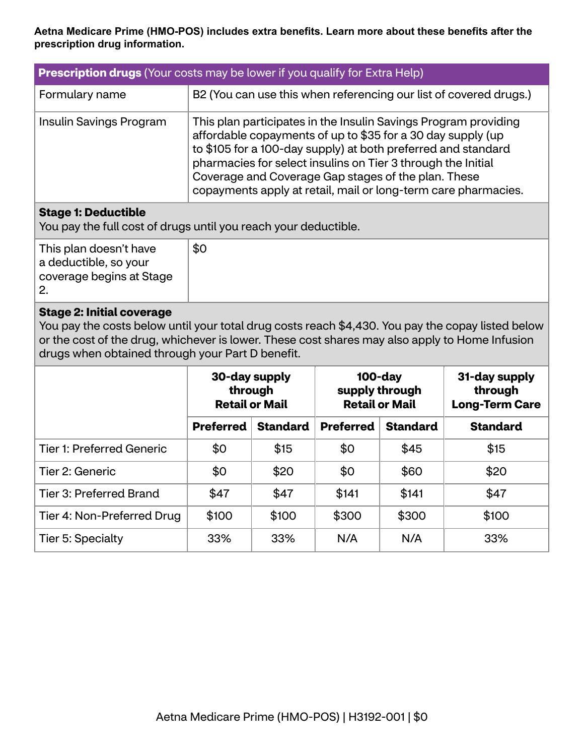#### **Aetna Medicare Prime (HMO-POS) includes extra benefits. Learn more about these benefits after the prescription drug information.**

| <b>Prescription drugs</b> (Your costs may be lower if you qualify for Extra Help) |                                                                                                                                                                                                                                                                                                                                                                                          |  |
|-----------------------------------------------------------------------------------|------------------------------------------------------------------------------------------------------------------------------------------------------------------------------------------------------------------------------------------------------------------------------------------------------------------------------------------------------------------------------------------|--|
| Formulary name                                                                    | B2 (You can use this when referencing our list of covered drugs.)                                                                                                                                                                                                                                                                                                                        |  |
| Insulin Savings Program                                                           | This plan participates in the Insulin Savings Program providing<br>affordable copayments of up to \$35 for a 30 day supply (up<br>to \$105 for a 100-day supply) at both preferred and standard<br>pharmacies for select insulins on Tier 3 through the Initial<br>Coverage and Coverage Gap stages of the plan. These<br>copayments apply at retail, mail or long-term care pharmacies. |  |

#### **Stage 1: Deductible**

You pay the full cost of drugs until you reach your deductible.

| This plan doesn't have<br>a deductible, so your<br>coverage begins at Stage | \$0 |
|-----------------------------------------------------------------------------|-----|
|                                                                             |     |

#### **Stage 2: Initial coverage**

You pay the costs below until your total drug costs reach \$4,430. You pay the copay listed below or the cost of the drug, whichever is lower. These cost shares may also apply to Home Infusion drugs when obtained through your Part D benefit.

|                                  | 30-day supply<br>through<br><b>Retail or Mail</b> |                 | $100$ -day<br>supply through<br><b>Retail or Mail</b> |                 | 31-day supply<br>through<br><b>Long-Term Care</b> |
|----------------------------------|---------------------------------------------------|-----------------|-------------------------------------------------------|-----------------|---------------------------------------------------|
|                                  | <b>Preferred</b>                                  | <b>Standard</b> | <b>Preferred</b>                                      | <b>Standard</b> | <b>Standard</b>                                   |
| <b>Tier 1: Preferred Generic</b> | \$0                                               | \$15            | \$0                                                   | \$45            | \$15                                              |
| Tier 2: Generic                  | \$0                                               | \$20            | \$0                                                   | \$60            | \$20                                              |
| Tier 3: Preferred Brand          | \$47                                              | \$47            | \$141                                                 | \$141           | \$47                                              |
| Tier 4: Non-Preferred Drug       | \$100                                             | \$100           | \$300                                                 | \$300           | \$100                                             |
| Tier 5: Specialty                | 33%                                               | 33%             | N/A                                                   | N/A             | 33%                                               |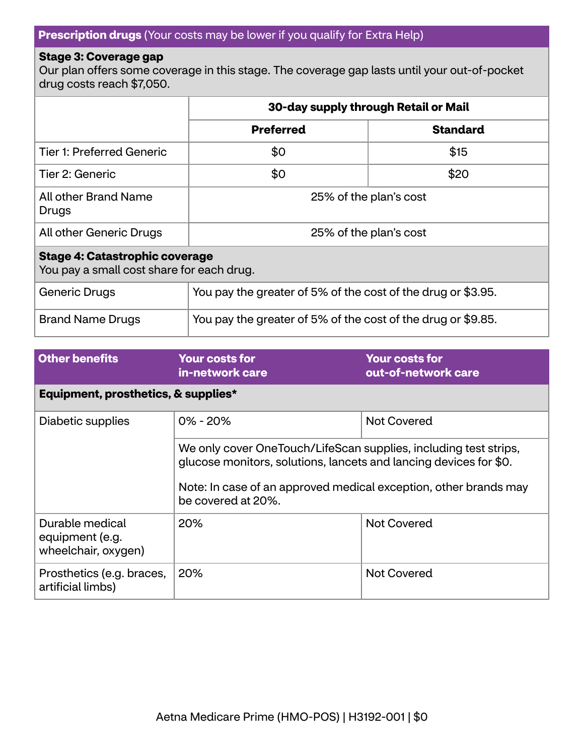#### **Prescription drugs** (Your costs may be lower if you qualify for Extra Help)

#### **Stage 3: Coverage gap**

Our plan offers some coverage in this stage. The coverage gap lasts until your out-of-pocket drug costs reach \$7,050.

|                                                                                    | 30-day supply through Retail or Mail                         |                 |  |
|------------------------------------------------------------------------------------|--------------------------------------------------------------|-----------------|--|
|                                                                                    | <b>Preferred</b>                                             | <b>Standard</b> |  |
| <b>Tier 1: Preferred Generic</b>                                                   | \$0                                                          | \$15            |  |
| Tier 2: Generic                                                                    | \$0                                                          | \$20            |  |
| All other Brand Name<br>Drugs                                                      | 25% of the plan's cost                                       |                 |  |
| All other Generic Drugs                                                            | 25% of the plan's cost                                       |                 |  |
| <b>Stage 4: Catastrophic coverage</b><br>You pay a small cost share for each drug. |                                                              |                 |  |
| <b>Generic Drugs</b>                                                               | You pay the greater of 5% of the cost of the drug or \$3.95. |                 |  |
| <b>Brand Name Drugs</b>                                                            | You pay the greater of 5% of the cost of the drug or \$9.85. |                 |  |

| <b>Other benefits</b>                                     | <b>Your costs for</b><br>in-network care                                                                                                                                                                                        | <b>Your costs for</b><br>out-of-network care |
|-----------------------------------------------------------|---------------------------------------------------------------------------------------------------------------------------------------------------------------------------------------------------------------------------------|----------------------------------------------|
| Equipment, prosthetics, & supplies*                       |                                                                                                                                                                                                                                 |                                              |
| Diabetic supplies                                         | $0\% - 20\%$                                                                                                                                                                                                                    | <b>Not Covered</b>                           |
|                                                           | We only cover OneTouch/LifeScan supplies, including test strips,<br>glucose monitors, solutions, lancets and lancing devices for \$0.<br>Note: In case of an approved medical exception, other brands may<br>be covered at 20%. |                                              |
| Durable medical<br>equipment (e.g.<br>wheelchair, oxygen) | <b>20%</b>                                                                                                                                                                                                                      | <b>Not Covered</b>                           |
| Prosthetics (e.g. braces,<br>artificial limbs)            | 20%                                                                                                                                                                                                                             | <b>Not Covered</b>                           |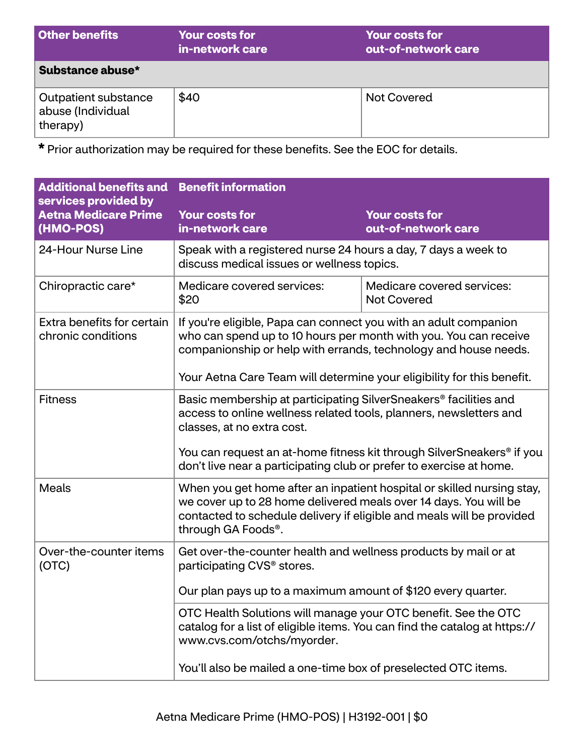| <b>Other benefits</b>                                 | <b>Your costs for</b><br>in-network care | <b>Your costs for</b><br>out-of-network care |
|-------------------------------------------------------|------------------------------------------|----------------------------------------------|
| Substance abuse*                                      |                                          |                                              |
| Outpatient substance<br>abuse (Individual<br>therapy) | \$40                                     | <b>Not Covered</b>                           |

**\*** Prior authorization may be required for these benefits. See the EOC for details.

| <b>Additional benefits and</b><br>services provided by | <b>Benefit information</b>                                                                                                                                                                                                                                                                                                       |                                              |
|--------------------------------------------------------|----------------------------------------------------------------------------------------------------------------------------------------------------------------------------------------------------------------------------------------------------------------------------------------------------------------------------------|----------------------------------------------|
| <b>Aetna Medicare Prime</b><br>(HMO-POS)               | <b>Your costs for</b><br>in-network care                                                                                                                                                                                                                                                                                         | <b>Your costs for</b><br>out-of-network care |
| 24-Hour Nurse Line                                     | Speak with a registered nurse 24 hours a day, 7 days a week to<br>discuss medical issues or wellness topics.                                                                                                                                                                                                                     |                                              |
| Chiropractic care*                                     | Medicare covered services:<br>\$20                                                                                                                                                                                                                                                                                               | Medicare covered services:<br>Not Covered    |
| Extra benefits for certain<br>chronic conditions       | If you're eligible, Papa can connect you with an adult companion<br>who can spend up to 10 hours per month with you. You can receive<br>companionship or help with errands, technology and house needs.<br>Your Aetna Care Team will determine your eligibility for this benefit.                                                |                                              |
| <b>Fitness</b>                                         | Basic membership at participating SilverSneakers <sup>®</sup> facilities and<br>access to online wellness related tools, planners, newsletters and<br>classes, at no extra cost.<br>You can request an at-home fitness kit through SilverSneakers® if you<br>don't live near a participating club or prefer to exercise at home. |                                              |
| <b>Meals</b>                                           | When you get home after an inpatient hospital or skilled nursing stay,<br>we cover up to 28 home delivered meals over 14 days. You will be<br>contacted to schedule delivery if eligible and meals will be provided<br>through GA Foods®.                                                                                        |                                              |
| Over-the-counter items<br>(OTC)                        | Get over-the-counter health and wellness products by mail or at<br>participating CVS <sup>®</sup> stores.<br>Our plan pays up to a maximum amount of \$120 every quarter.                                                                                                                                                        |                                              |
|                                                        | OTC Health Solutions will manage your OTC benefit. See the OTC<br>catalog for a list of eligible items. You can find the catalog at https://<br>www.cvs.com/otchs/myorder.<br>You'll also be mailed a one-time box of preselected OTC items.                                                                                     |                                              |
|                                                        |                                                                                                                                                                                                                                                                                                                                  |                                              |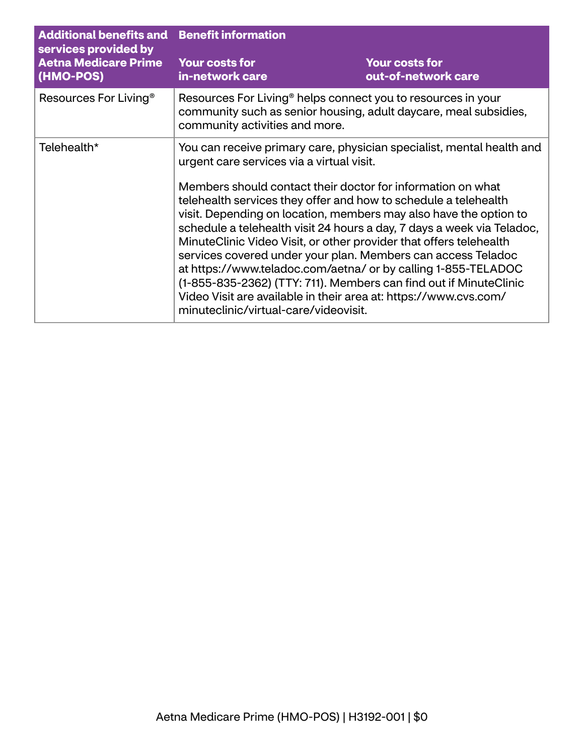| <b>Additional benefits and Benefit information</b><br>services provided by<br><b>Aetna Medicare Prime</b><br>(HMO-POS) |                                                                                                                                                                                                                                                                                                                                                                                                                                                                                                                                                                                                                                                                                                                                                                                              |                                              |
|------------------------------------------------------------------------------------------------------------------------|----------------------------------------------------------------------------------------------------------------------------------------------------------------------------------------------------------------------------------------------------------------------------------------------------------------------------------------------------------------------------------------------------------------------------------------------------------------------------------------------------------------------------------------------------------------------------------------------------------------------------------------------------------------------------------------------------------------------------------------------------------------------------------------------|----------------------------------------------|
|                                                                                                                        | <b>Your costs for</b><br>in-network care                                                                                                                                                                                                                                                                                                                                                                                                                                                                                                                                                                                                                                                                                                                                                     | <b>Your costs for</b><br>out-of-network care |
| Resources For Living <sup>®</sup>                                                                                      | Resources For Living <sup>®</sup> helps connect you to resources in your<br>community such as senior housing, adult daycare, meal subsidies,<br>community activities and more.                                                                                                                                                                                                                                                                                                                                                                                                                                                                                                                                                                                                               |                                              |
| Telehealth*                                                                                                            | You can receive primary care, physician specialist, mental health and<br>urgent care services via a virtual visit.<br>Members should contact their doctor for information on what<br>telehealth services they offer and how to schedule a telehealth<br>visit. Depending on location, members may also have the option to<br>schedule a telehealth visit 24 hours a day, 7 days a week via Teladoc,<br>MinuteClinic Video Visit, or other provider that offers telehealth<br>services covered under your plan. Members can access Teladoc<br>at https://www.teladoc.com/aetna/ or by calling 1-855-TELADOC<br>(1-855-835-2362) (TTY: 711). Members can find out if MinuteClinic<br>Video Visit are available in their area at: https://www.cvs.com/<br>minuteclinic/virtual-care/videovisit. |                                              |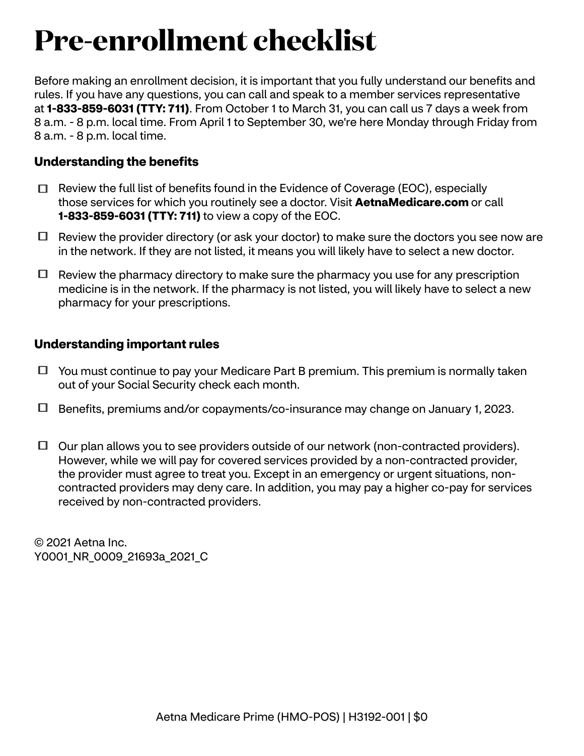## **Pre-enrollment checklist**

Before making an enrollment decision, it is important that you fully understand our benefits and rules. If you have any questions, you can call and speak to a member services representative at **1-833-859-6031 (TTY: 711)**. From October 1 to March 31, you can call us 7 days a week from 8 a.m. - 8 p.m. local time. From April 1 to September 30, we're here Monday through Friday from 8 a.m. - 8 p.m. local time.

### **Understanding the benefits**

- $\Box$  Review the full list of benefits found in the Evidence of Coverage (EOC), especially those services for which you routinely see a doctor. Visit **[AetnaMedicare.com](http://AetnaMedicare.com)** or call **1-833-859-6031 (TTY: 711)** to view a copy of the EOC.
- $\Box$  Review the provider directory (or ask your doctor) to make sure the doctors you see now are in the network. If they are not listed, it means you will likely have to select a new doctor.
- $\Box$  Review the pharmacy directory to make sure the pharmacy you use for any prescription medicine is in the network. If the pharmacy is not listed, you will likely have to select a new pharmacy for your prescriptions.

#### **Understanding important rules**

- $\Box$  You must continue to pay your Medicare Part B premium. This premium is normally taken out of your Social Security check each month.
- Benefits, premiums and/or copayments/co-insurance may change on January 1, 2023.
- $\Box$  Our plan allows you to see providers outside of our network (non-contracted providers). However, while we will pay for covered services provided by a non-contracted provider, the provider must agree to treat you. Except in an emergency or urgent situations, noncontracted providers may deny care. In addition, you may pay a higher co-pay for services received by non-contracted providers.

© 2021 Aetna Inc. Y0001 NR 0009 21693a 2021 C